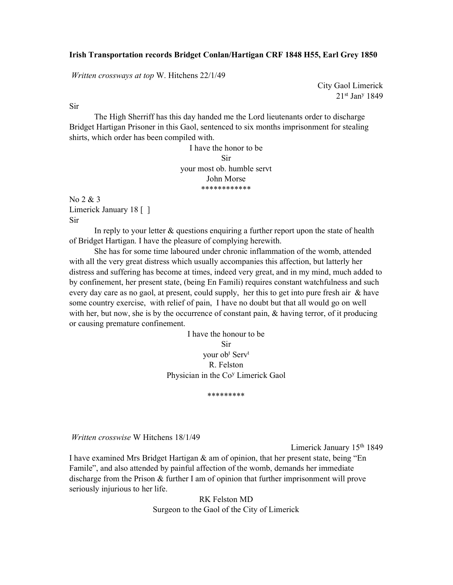## Irish Transportation records Bridget Conlan/Hartigan CRF 1848 H55, Earl Grey 1850

Written crossways at top W. Hitchens 22/1/49

City Gaol Limerick 21st Jan<sup>y</sup> 1849

Sir

 The High Sherriff has this day handed me the Lord lieutenants order to discharge Bridget Hartigan Prisoner in this Gaol, sentenced to six months imprisonment for stealing shirts, which order has been compiled with.

> I have the honor to be Sir your most ob. humble servt John Morse \*\*\*\*\*\*\*\*\*\*\*\*

No 2 & 3 Limerick January 18 [ ] Sir

In reply to your letter  $\&$  questions enquiring a further report upon the state of health of Bridget Hartigan. I have the pleasure of complying herewith.

 She has for some time laboured under chronic inflammation of the womb, attended with all the very great distress which usually accompanies this affection, but latterly her distress and suffering has become at times, indeed very great, and in my mind, much added to by confinement, her present state, (being En Famili) requires constant watchfulness and such every day care as no gaol, at present, could supply, her this to get into pure fresh air & have some country exercise, with relief of pain, I have no doubt but that all would go on well with her, but now, she is by the occurrence of constant pain, & having terror, of it producing or causing premature confinement.

> I have the honour to be Sir your ob<sup>t</sup> Serv<sup>t</sup> R. Felston Physician in the Co<sup>y</sup> Limerick Gaol

> > \*\*\*\*\*\*\*\*\*

Written crosswise W Hitchens 18/1/49

Limerick January 15th 1849

I have examined Mrs Bridget Hartigan & am of opinion, that her present state, being "En Famile", and also attended by painful affection of the womb, demands her immediate discharge from the Prison & further I am of opinion that further imprisonment will prove seriously injurious to her life.

> RK Felston MD Surgeon to the Gaol of the City of Limerick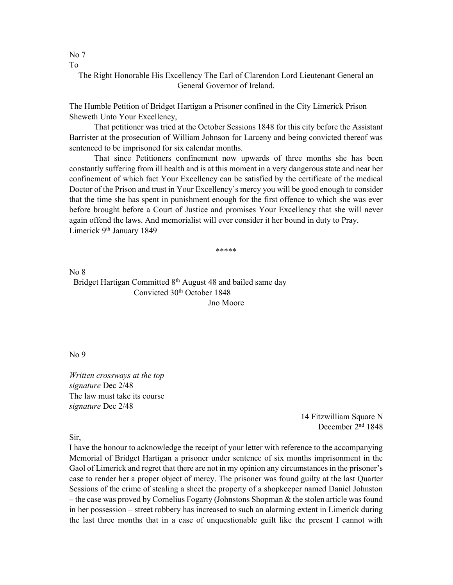No 7 To

> The Right Honorable His Excellency The Earl of Clarendon Lord Lieutenant General an General Governor of Ireland.

The Humble Petition of Bridget Hartigan a Prisoner confined in the City Limerick Prison Sheweth Unto Your Excellency,

 That petitioner was tried at the October Sessions 1848 for this city before the Assistant Barrister at the prosecution of William Johnson for Larceny and being convicted thereof was sentenced to be imprisoned for six calendar months.

 That since Petitioners confinement now upwards of three months she has been constantly suffering from ill health and is at this moment in a very dangerous state and near her confinement of which fact Your Excellency can be satisfied by the certificate of the medical Doctor of the Prison and trust in Your Excellency's mercy you will be good enough to consider that the time she has spent in punishment enough for the first offence to which she was ever before brought before a Court of Justice and promises Your Excellency that she will never again offend the laws. And memorialist will ever consider it her bound in duty to Pray. Limerick 9<sup>th</sup> January 1849

\*\*\*\*\*

No 8 Bridget Hartigan Committed 8<sup>th</sup> August 48 and bailed same day Convicted 30<sup>th</sup> October 1848 Jno Moore

No 9

Written crossways at the top signature Dec 2/48 The law must take its course signature Dec 2/48

> 14 Fitzwilliam Square N December 2nd 1848

Sir,

I have the honour to acknowledge the receipt of your letter with reference to the accompanying Memorial of Bridget Hartigan a prisoner under sentence of six months imprisonment in the Gaol of Limerick and regret that there are not in my opinion any circumstances in the prisoner's case to render her a proper object of mercy. The prisoner was found guilty at the last Quarter Sessions of the crime of stealing a sheet the property of a shopkeeper named Daniel Johnston – the case was proved by Cornelius Fogarty (Johnstons Shopman & the stolen article was found in her possession – street robbery has increased to such an alarming extent in Limerick during the last three months that in a case of unquestionable guilt like the present I cannot with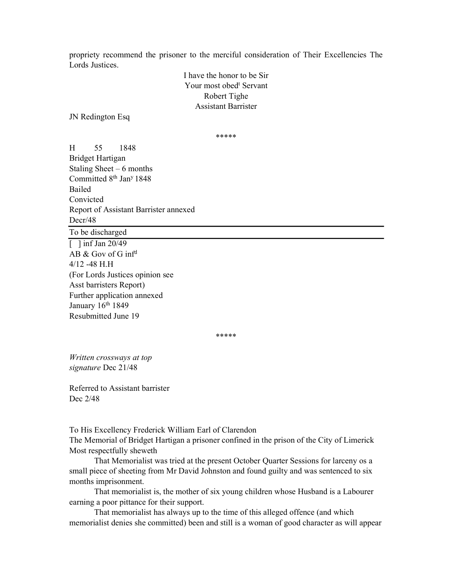propriety recommend the prisoner to the merciful consideration of Their Excellencies The Lords Justices.

> I have the honor to be Sir Your most obed<sup>t</sup> Servant Robert Tighe Assistant Barrister

JN Redington Esq

\*\*\*\*\*

H 55 1848 Bridget Hartigan Staling Sheet –  $6$  months Committed 8<sup>th</sup> Jan<sup>y</sup> 1848 Bailed Convicted Report of Assistant Barrister annexed Decr/48

To be discharged

 $\lceil$  1 inf Jan 20/49 AB & Gov of G inf<sup>d</sup> 4/12 -48 H.H (For Lords Justices opinion see Asst barristers Report) Further application annexed January 16<sup>th</sup> 1849 Resubmitted June 19

\*\*\*\*\*

Written crossways at top signature Dec 21/48

Referred to Assistant barrister Dec 2/48

To His Excellency Frederick William Earl of Clarendon The Memorial of Bridget Hartigan a prisoner confined in the prison of the City of Limerick Most respectfully sheweth

 That Memorialist was tried at the present October Quarter Sessions for larceny os a small piece of sheeting from Mr David Johnston and found guilty and was sentenced to six months imprisonment.

That memorialist is, the mother of six young children whose Husband is a Labourer earning a poor pittance for their support.

That memorialist has always up to the time of this alleged offence (and which memorialist denies she committed) been and still is a woman of good character as will appear